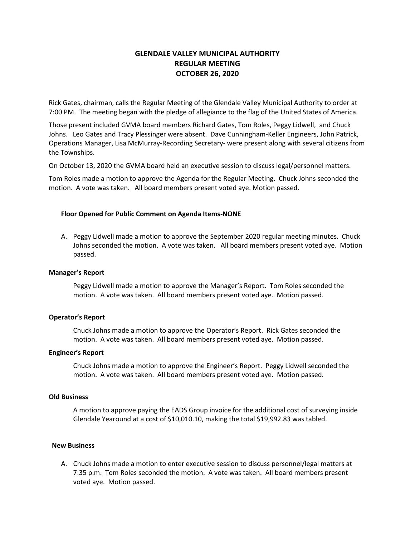# **GLENDALE VALLEY MUNICIPAL AUTHORITY REGULAR MEETING OCTOBER 26, 2020**

Rick Gates, chairman, calls the Regular Meeting of the Glendale Valley Municipal Authority to order at 7:00 PM. The meeting began with the pledge of allegiance to the flag of the United States of America.

Those present included GVMA board members Richard Gates, Tom Roles, Peggy Lidwell, and Chuck Johns. Leo Gates and Tracy Plessinger were absent. Dave Cunningham-Keller Engineers, John Patrick, Operations Manager, Lisa McMurray-Recording Secretary- were present along with several citizens from the Townships.

On October 13, 2020 the GVMA board held an executive session to discuss legal/personnel matters.

Tom Roles made a motion to approve the Agenda for the Regular Meeting. Chuck Johns seconded the motion. A vote was taken. All board members present voted aye. Motion passed.

### **Floor Opened for Public Comment on Agenda Items-NONE**

A. Peggy Lidwell made a motion to approve the September 2020 regular meeting minutes. Chuck Johns seconded the motion. A vote was taken. All board members present voted aye. Motion passed.

#### **Manager's Report**

Peggy Lidwell made a motion to approve the Manager's Report. Tom Roles seconded the motion. A vote was taken. All board members present voted aye. Motion passed.

#### **Operator's Report**

Chuck Johns made a motion to approve the Operator's Report. Rick Gates seconded the motion. A vote was taken. All board members present voted aye. Motion passed.

#### **Engineer's Report**

Chuck Johns made a motion to approve the Engineer's Report. Peggy Lidwell seconded the motion. A vote was taken. All board members present voted aye. Motion passed.

#### **Old Business**

A motion to approve paying the EADS Group invoice for the additional cost of surveying inside Glendale Yearound at a cost of \$10,010.10, making the total \$19,992.83 was tabled.

#### **New Business**

A. Chuck Johns made a motion to enter executive session to discuss personnel/legal matters at 7:35 p.m. Tom Roles seconded the motion. A vote was taken. All board members present voted aye. Motion passed.